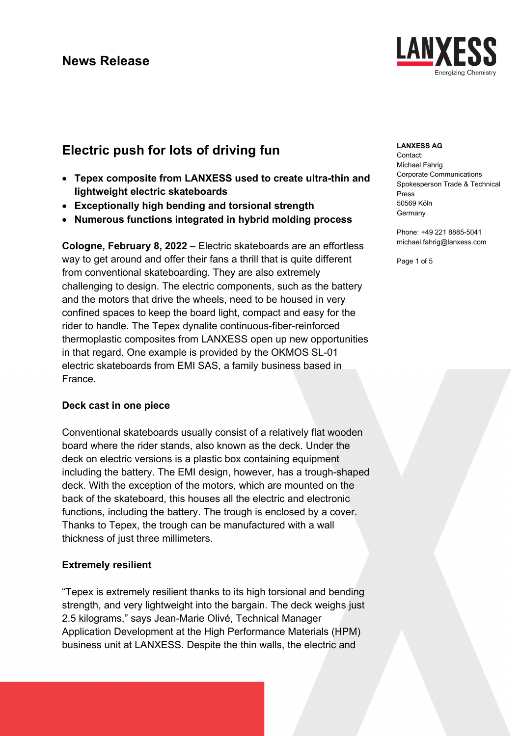# **Electric push for lots of driving fun**

- **Tepex composite from LANXESS used to create ultra-thin and lightweight electric skateboards**
- **Exceptionally high bending and torsional strength**
- **Numerous functions integrated in hybrid molding process**

**Cologne, February 8, 2022** – Electric skateboards are an effortless way to get around and offer their fans a thrill that is quite different from conventional skateboarding. They are also extremely challenging to design. The electric components, such as the battery and the motors that drive the wheels, need to be housed in very confined spaces to keep the board light, compact and easy for the rider to handle. The Tepex dynalite continuous-fiber-reinforced thermoplastic composites from LANXESS open up new opportunities in that regard. One example is provided by the OKMOS SL-01 electric skateboards from EMI SAS, a family business based in France.

### **Deck cast in one piece**

Conventional skateboards usually consist of a relatively flat wooden board where the rider stands, also known as the deck. Under the deck on electric versions is a plastic box containing equipment including the battery. The EMI design, however, has a trough-shaped deck. With the exception of the motors, which are mounted on the back of the skateboard, this houses all the electric and electronic functions, including the battery. The trough is enclosed by a cover. Thanks to Tepex, the trough can be manufactured with a wall thickness of just three millimeters.

### **Extremely resilient**

"Tepex is extremely resilient thanks to its high torsional and bending strength, and very lightweight into the bargain. The deck weighs just 2.5 kilograms," says Jean-Marie Olivé, Technical Manager Application Development at the High Performance Materials (HPM) business unit at LANXESS. Despite the thin walls, the electric and

### **LANXESS AG**

Contact: Michael Fahrig Corporate Communications Spokesperson Trade & Technical Press 50569 Köln **Germany** 

Phone: +49 221 8885-5041 michael.fahrig@lanxess.com

Page 1 of 5

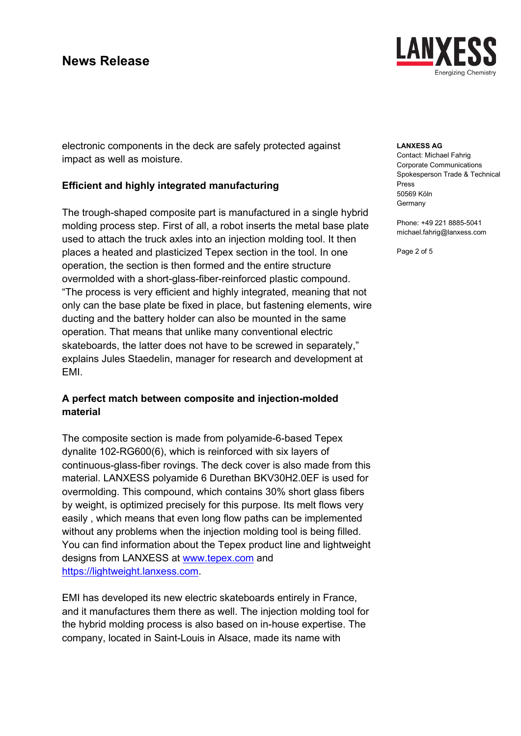

electronic components in the deck are safely protected against impact as well as moisture.

## **Efficient and highly integrated manufacturing**

The trough-shaped composite part is manufactured in a single hybrid molding process step. First of all, a robot inserts the metal base plate used to attach the truck axles into an injection molding tool. It then places a heated and plasticized Tepex section in the tool. In one operation, the section is then formed and the entire structure overmolded with a short-glass-fiber-reinforced plastic compound. "The process is very efficient and highly integrated, meaning that not only can the base plate be fixed in place, but fastening elements, wire ducting and the battery holder can also be mounted in the same operation. That means that unlike many conventional electric skateboards, the latter does not have to be screwed in separately," explains Jules Staedelin, manager for research and development at EMI.

## **A perfect match between composite and injection-molded material**

The composite section is made from polyamide-6-based Tepex dynalite 102-RG600(6), which is reinforced with six layers of continuous-glass-fiber rovings. The deck cover is also made from this material. LANXESS polyamide 6 Durethan BKV30H2.0EF is used for overmolding. This compound, which contains 30% short glass fibers by weight, is optimized precisely for this purpose. Its melt flows very easily , which means that even long flow paths can be implemented without any problems when the injection molding tool is being filled. You can find information about the Tepex product line and lightweight designs from LANXESS at [www.tepex.com](http://www.tepex.com/) and https://lightweight.lanxess.com.

EMI has developed its new electric skateboards entirely in France, and it manufactures them there as well. The injection molding tool for the hybrid molding process is also based on in-house expertise. The company, located in Saint-Louis in Alsace, made its name with

#### **LANXESS AG**

Contact: Michael Fahrig Corporate Communications Spokesperson Trade & Technical Press 50569 Köln **Germany** 

Phone: +49 221 8885-5041 michael.fahrig@lanxess.com

Page 2 of 5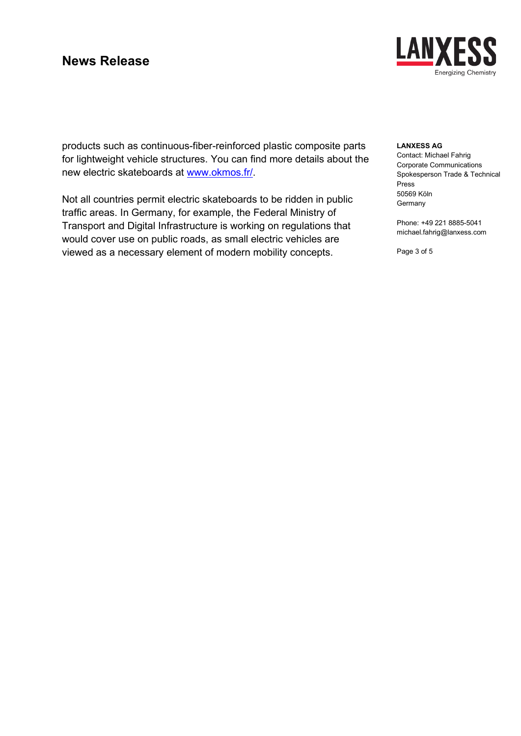

products such as continuous-fiber-reinforced plastic composite parts for lightweight vehicle structures. You can find more details about the new electric skateboards at [www.okmos.fr/.](http://www.okmos.fr/)

Not all countries permit electric skateboards to be ridden in public traffic areas. In Germany, for example, the Federal Ministry of Transport and Digital Infrastructure is working on regulations that would cover use on public roads, as small electric vehicles are viewed as a necessary element of modern mobility concepts.

#### **LANXESS AG**

Contact: Michael Fahrig Corporate Communications Spokesperson Trade & Technical Press 50569 Köln **Germany** 

Phone: +49 221 8885-5041 michael.fahrig@lanxess.com

Page 3 of 5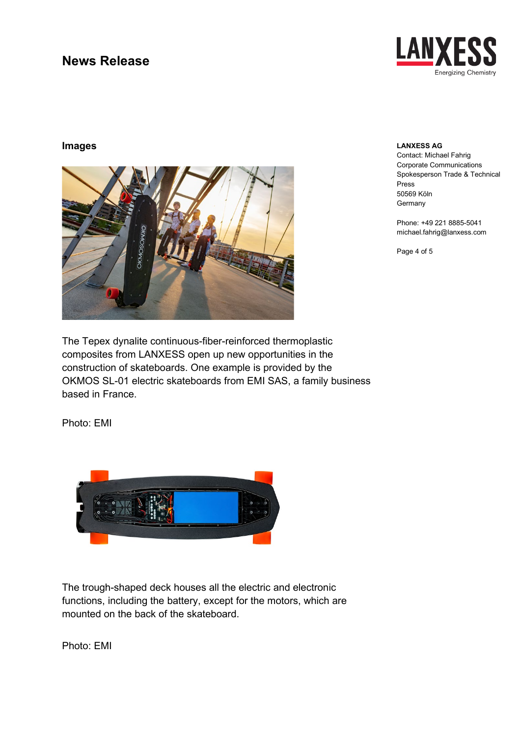

### **Images**



#### **LANXESS AG**

Contact: Michael Fahrig Corporate Communications Spokesperson Trade & Technical Press 50569 Köln **Germany** 

Phone: +49 221 8885-5041 michael.fahrig@lanxess.com

Page 4 of 5

The Tepex dynalite continuous-fiber-reinforced thermoplastic composites from LANXESS open up new opportunities in the construction of skateboards. One example is provided by the OKMOS SL-01 electric skateboards from EMI SAS, a family business based in France.

Photo: EMI



The trough-shaped deck houses all the electric and electronic functions, including the battery, except for the motors, which are mounted on the back of the skateboard.

Photo: EMI